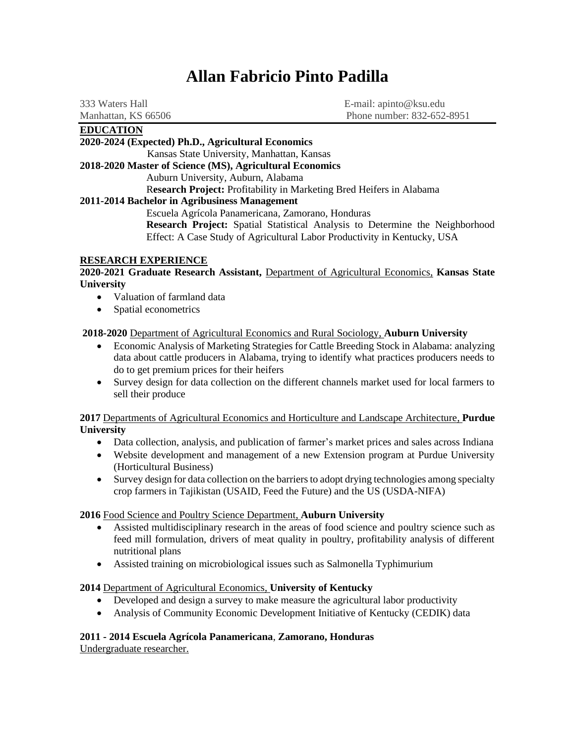# **Allan Fabricio Pinto Padilla**

| <b>EDUCATION</b>    |                            |
|---------------------|----------------------------|
| Manhattan, KS 66506 | Phone number: 832-652-8951 |
| 333 Waters Hall     | E-mail: apinto@ksu.edu     |

#### **2020-2024 (Expected) Ph.D., Agricultural Economics**

Kansas State University, Manhattan, Kansas

**2018-2020 Master of Science (MS), Agricultural Economics**

Auburn University, Auburn, Alabama

R**esearch Project:** Profitability in Marketing Bred Heifers in Alabama

# **2011-2014 Bachelor in Agribusiness Management**

Escuela Agrícola Panamericana, Zamorano, Honduras **Research Project:** Spatial Statistical Analysis to Determine the Neighborhood Effect: A Case Study of Agricultural Labor Productivity in Kentucky, USA

#### **RESEARCH EXPERIENCE**

#### **2020-2021 Graduate Research Assistant,** Department of Agricultural Economics, **Kansas State University**

- Valuation of farmland data
- Spatial econometrics

# **2018-2020** Department of Agricultural Economics and Rural Sociology, **Auburn University**

- Economic Analysis of Marketing Strategies for Cattle Breeding Stock in Alabama: analyzing data about cattle producers in Alabama, trying to identify what practices producers needs to do to get premium prices for their heifers
- Survey design for data collection on the different channels market used for local farmers to sell their produce

**2017** Departments of Agricultural Economics and Horticulture and Landscape Architecture, **Purdue University**

- Data collection, analysis, and publication of farmer's market prices and sales across Indiana
- Website development and management of a new Extension program at Purdue University (Horticultural Business)
- Survey design for data collection on the barriers to adopt drying technologies among specialty crop farmers in Tajikistan (USAID, Feed the Future) and the US (USDA-NIFA)

#### **2016** Food Science and Poultry Science Department, **Auburn University**

- Assisted multidisciplinary research in the areas of food science and poultry science such as feed mill formulation, drivers of meat quality in poultry, profitability analysis of different nutritional plans
- Assisted training on microbiological issues such as Salmonella Typhimurium

#### **2014** Department of Agricultural Economics, **University of Kentucky**

- Developed and design a survey to make measure the agricultural labor productivity
- Analysis of Community Economic Development Initiative of Kentucky (CEDIK) data

# **2011 - 2014 Escuela Agrícola Panamericana**, **Zamorano, Honduras**

Undergraduate researcher.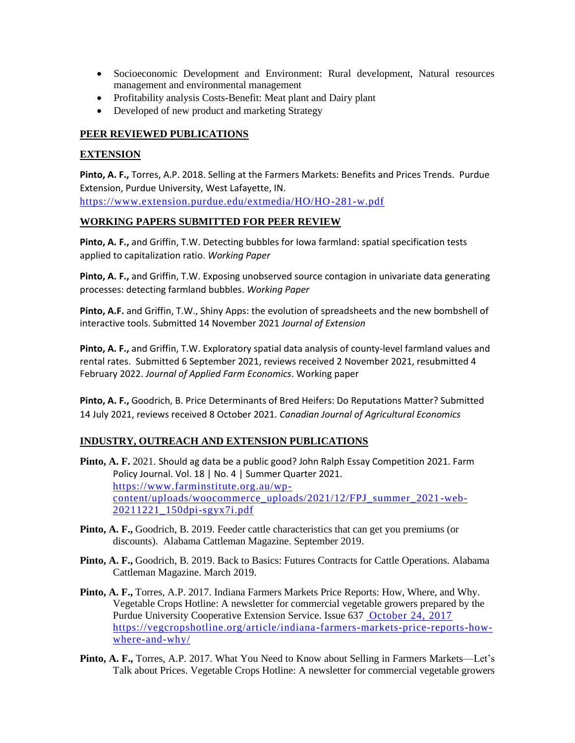- Socioeconomic Development and Environment: Rural development, Natural resources management and environmental management
- Profitability analysis Costs-Benefit: Meat plant and Dairy plant
- Developed of new product and marketing Strategy

# **PEER REVIEWED PUBLICATIONS**

#### **EXTENSION**

**Pinto, A. F.,** Torres, A.P. 2018. Selling at the Farmers Markets: Benefits and Prices Trends. Purdue Extension, Purdue University, West Lafayette, IN. <https://www.extension.purdue.edu/extmedia/HO/HO-281-w.pdf>

#### **WORKING PAPERS SUBMITTED FOR PEER REVIEW**

**Pinto, A. F.,** and Griffin, T.W. Detecting bubbles for Iowa farmland: spatial specification tests applied to capitalization ratio. *Working Paper*

**Pinto, A. F.,** and Griffin, T.W. Exposing unobserved source contagion in univariate data generating processes: detecting farmland bubbles. *Working Paper* 

**Pinto, A.F.** and Griffin, T.W., Shiny Apps: the evolution of spreadsheets and the new bombshell of interactive tools. Submitted 14 November 2021 *Journal of Extension*

**Pinto, A. F.,** and Griffin, T.W. Exploratory spatial data analysis of county-level farmland values and rental rates. Submitted 6 September 2021, reviews received 2 November 2021, resubmitted 4 February 2022. *Journal of Applied Farm Economics*. Working paper

**Pinto, A. F.,** Goodrich, B. Price Determinants of Bred Heifers: Do Reputations Matter? Submitted 14 July 2021, reviews received 8 October 2021. *Canadian Journal of Agricultural Economics*

# **INDUSTRY, OUTREACH AND EXTENSION PUBLICATIONS**

- **Pinto, A. F.** 2021. Should ag data be a public good? John Ralph Essay Competition 2021. Farm Policy Journal. Vol. 18 | No. 4 | Summer Quarter 2021. https://www.farminstitute.org.au/wpcontent/uploads/woocommerce\_uploads/2021/12/FPJ\_summer\_2021 -web-20211221\_150dpi-sgyx7i.pdf
- **Pinto, A. F.,** Goodrich, B. 2019. Feeder cattle characteristics that can get you premiums (or discounts). Alabama Cattleman Magazine. September 2019.
- **Pinto, A. F.,** Goodrich, B. 2019. Back to Basics: Futures Contracts for Cattle Operations. Alabama Cattleman Magazine. March 2019.
- **Pinto, A. F.,** Torres, A.P. 2017. Indiana Farmers Markets Price Reports: How, Where, and Why. [Vegetable Crops Hotline:](https://vegcropshotline.org/) A newsletter for commercial vegetable growers prepared by the Purdue University Cooperative Extension Service. Issue 637 October 24, 2017 https://vegcropshotline.org/article/indiana -farmers-markets-price-reports-howwhere-and-why/
- **Pinto, A. F.,** Torres, A.P. 2017. What You Need to Know about Selling in Farmers Markets—Let's Talk about Prices. [Vegetable Crops Hotline:](https://vegcropshotline.org/) A newsletter for commercial vegetable growers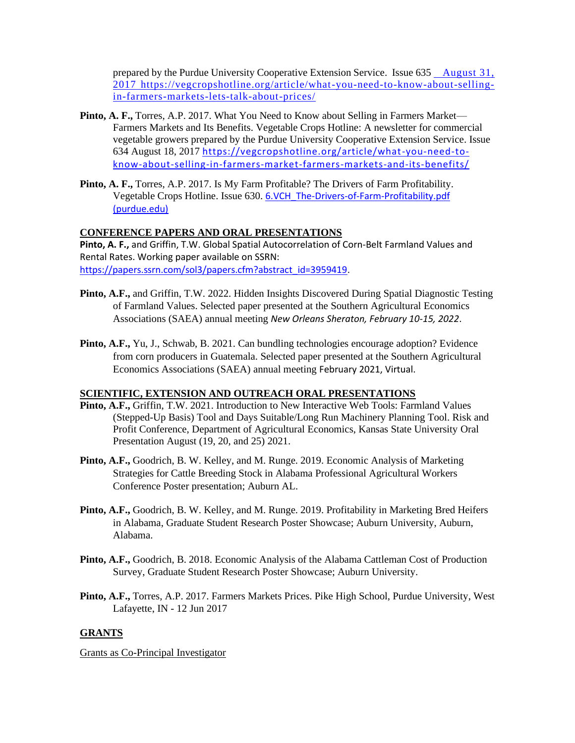prepared by the Purdue University Cooperative Extension Service. Issue 635 August 31, 2017 https://vegcropshotline.org/article/what-you-need-to-know-about-sellingin-farmers-markets-lets-talk-about-prices/

- **Pinto, A. F.,** Torres, A.P. 2017. What You Need to Know about Selling in Farmers Market— Farmers Markets and Its Benefits. [Vegetable Crops Hotline:](https://vegcropshotline.org/) A newsletter for commercial vegetable growers prepared by the Purdue University Cooperative Extension Service. Issue 634 August 18, 2017 https://vegcropshotline.org/article/what-you-need-toknow-about-selling-in-farmers-market-farmers-markets-and-its-benefits/
- **Pinto, A. F.,** Torres, A.P. 2017. Is My Farm Profitable? The Drivers of Farm Profitability. [Vegetable Crops Hotline.](https://vegcropshotline.org/) Issue 630. [6.VCH\\_The-Drivers-of-Farm-Profitability.pdf](https://www.purdue.edu/hla/sites/hortbusiness/wp-content/uploads/sites/10/2017/09/6.VCH_The-Drivers-of-Farm-Profitability.pdf)  [\(purdue.edu\)](https://www.purdue.edu/hla/sites/hortbusiness/wp-content/uploads/sites/10/2017/09/6.VCH_The-Drivers-of-Farm-Profitability.pdf)

#### **CONFERENCE PAPERS AND ORAL PRESENTATIONS**

**Pinto, A. F.,** and Griffin, T.W. Global Spatial Autocorrelation of Corn-Belt Farmland Values and Rental Rates. Working paper available on SSRN: [https://papers.ssrn.com/sol3/papers.cfm?abstract\\_id=3959419.](https://papers.ssrn.com/sol3/papers.cfm?abstract_id=3959419)

- **Pinto, A.F.,** and Griffin, T.W. 2022. Hidden Insights Discovered During Spatial Diagnostic Testing of Farmland Values. Selected paper presented at the Southern Agricultural Economics Associations (SAEA) annual meeting *New Orleans Sheraton, February 10-15, 2022*.
- **Pinto, A.F.,** Yu, J., Schwab, B. 2021. Can bundling technologies encourage adoption? Evidence from corn producers in Guatemala. Selected paper presented at the Southern Agricultural Economics Associations (SAEA) annual meeting February 2021, Virtual.

#### **SCIENTIFIC, EXTENSION AND OUTREACH ORAL PRESENTATIONS**

- **Pinto, A.F.,** Griffin, T.W. 2021. Introduction to New Interactive Web Tools: Farmland Values (Stepped-Up Basis) Tool and Days Suitable/Long Run Machinery Planning Tool. Risk and Profit Conference, Department of Agricultural Economics, Kansas State University Oral Presentation August (19, 20, and 25) 2021.
- **Pinto, A.F.,** Goodrich, B. W. Kelley, and M. Runge. 2019. Economic Analysis of Marketing Strategies for Cattle Breeding Stock in Alabama Professional Agricultural Workers Conference Poster presentation; Auburn AL.
- **Pinto, A.F.,** Goodrich, B. W. Kelley, and M. Runge. 2019. Profitability in Marketing Bred Heifers in Alabama, Graduate Student Research Poster Showcase; Auburn University, Auburn, Alabama.
- **Pinto, A.F.,** Goodrich, B. 2018. Economic Analysis of the Alabama Cattleman Cost of Production Survey, Graduate Student Research Poster Showcase; Auburn University.
- **Pinto, A.F.,** Torres, A.P. 2017. Farmers Markets Prices. Pike High School, Purdue University, West Lafayette, IN - 12 Jun 2017

#### **GRANTS**

Grants as Co-Principal Investigator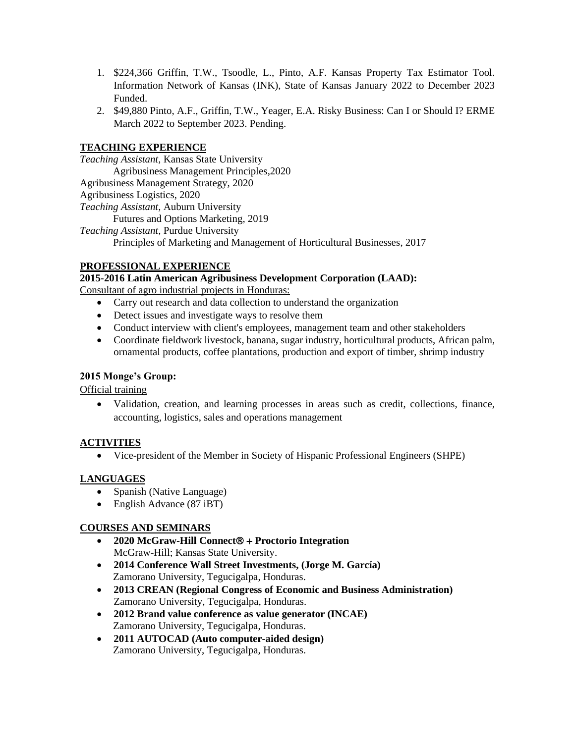- 1. \$224,366 Griffin, T.W., Tsoodle, L., Pinto, A.F. Kansas Property Tax Estimator Tool. Information Network of Kansas (INK), State of Kansas January 2022 to December 2023 Funded.
- 2. \$49,880 Pinto, A.F., Griffin, T.W., Yeager, E.A. Risky Business: Can I or Should I? ERME March 2022 to September 2023. Pending.

# **TEACHING EXPERIENCE**

*Teaching Assistant,* Kansas State University Agribusiness Management Principles,2020 Agribusiness Management Strategy, 2020 Agribusiness Logistics, 2020 *Teaching Assistant,* Auburn University Futures and Options Marketing, 2019 *Teaching Assistant,* Purdue University Principles of Marketing and Management of Horticultural Businesses, 2017

# **PROFESSIONAL EXPERIENCE**

**2015-2016 Latin American Agribusiness Development Corporation (LAAD):**  Consultant of agro industrial projects in Honduras:

- Carry out research and data collection to understand the organization
- Detect issues and investigate ways to resolve them
- Conduct interview with client's employees, management team and other stakeholders
- Coordinate fieldwork livestock, banana, sugar industry, horticultural products, African palm, ornamental products, coffee plantations, production and export of timber, shrimp industry

#### **2015 Monge's Group:**

Official training

• Validation, creation, and learning processes in areas such as credit, collections, finance, accounting, logistics, sales and operations management

#### **ACTIVITIES**

• Vice-president of the Member in Society of Hispanic Professional Engineers (SHPE)

#### **LANGUAGES**

- Spanish (Native Language)
- English Advance (87 iBT)

#### **COURSES AND SEMINARS**

- **2020 McGraw-Hill Connect® + Proctorio Integration** McGraw-Hill; Kansas State University.
- **2014 Conference Wall Street Investments, (Jorge M. García)** Zamorano University, Tegucigalpa, Honduras.
- **2013 CREAN (Regional Congress of Economic and Business Administration)** Zamorano University, Tegucigalpa, Honduras.
- **2012 Brand value conference as value generator (INCAE)** Zamorano University, Tegucigalpa, Honduras.
- **2011 AUTOCAD (Auto computer-aided design)** Zamorano University, Tegucigalpa, Honduras.